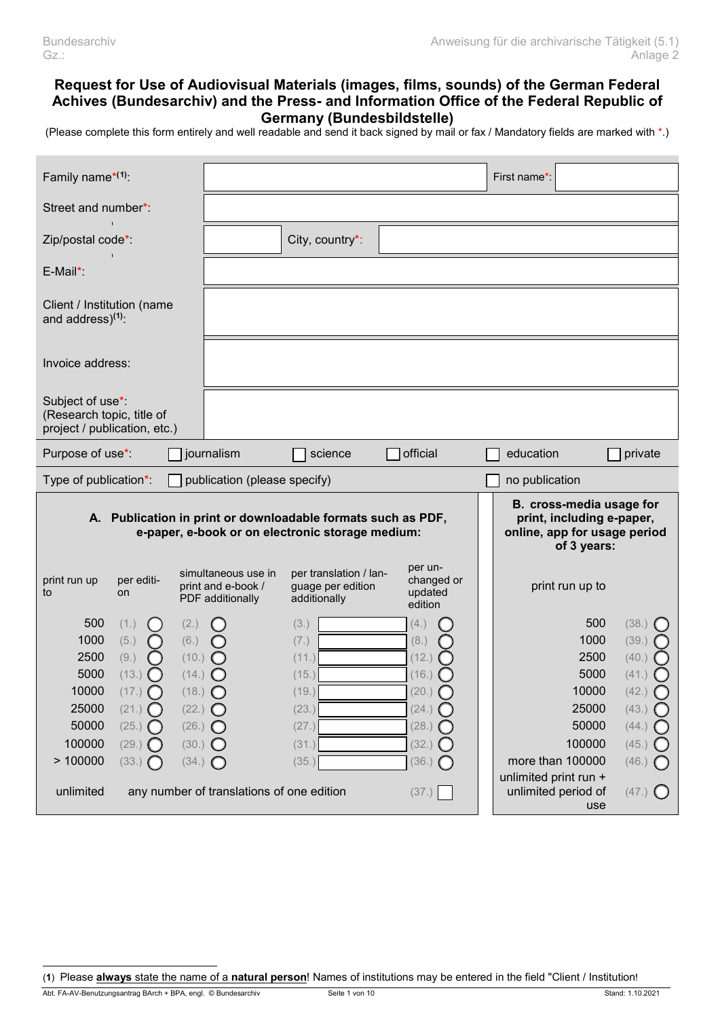# **Request for Use of Audiovisual Materials (images, films, sounds) of the German Federal Achives (Bundesarchiv) and the Press- and Information Office of the Federal Republic of Germany (Bundesbildstelle)**

(Please complete this form entirely and well readable and send it back signed by mail or fax / Mandatory fields are marked with \*.)

| Family name $*(1)$ :                                                          |                                                                              |                                                                                                                  |                                                                    |                                                                                                      | First name*:                                                     |                                                                      |
|-------------------------------------------------------------------------------|------------------------------------------------------------------------------|------------------------------------------------------------------------------------------------------------------|--------------------------------------------------------------------|------------------------------------------------------------------------------------------------------|------------------------------------------------------------------|----------------------------------------------------------------------|
| Street and number*:                                                           |                                                                              |                                                                                                                  |                                                                    |                                                                                                      |                                                                  |                                                                      |
| Zip/postal code*:                                                             |                                                                              |                                                                                                                  | City, country*:                                                    |                                                                                                      |                                                                  |                                                                      |
| E-Mail*:                                                                      |                                                                              |                                                                                                                  |                                                                    |                                                                                                      |                                                                  |                                                                      |
| Client / Institution (name<br>and address) <sup>(1)</sup> :                   |                                                                              |                                                                                                                  |                                                                    |                                                                                                      |                                                                  |                                                                      |
| Invoice address:                                                              |                                                                              |                                                                                                                  |                                                                    |                                                                                                      |                                                                  |                                                                      |
| Subject of use*:<br>(Research topic, title of<br>project / publication, etc.) |                                                                              |                                                                                                                  |                                                                    |                                                                                                      |                                                                  |                                                                      |
| Purpose of use*:                                                              |                                                                              | journalism                                                                                                       | science                                                            | official                                                                                             | education                                                        | private                                                              |
| Type of publication*:                                                         |                                                                              | publication (please specify)                                                                                     |                                                                    |                                                                                                      | no publication                                                   |                                                                      |
|                                                                               |                                                                              | A. Publication in print or downloadable formats such as PDF,<br>e-paper, e-book or on electronic storage medium: |                                                                    | B. cross-media usage for<br>print, including e-paper,<br>online, app for usage period<br>of 3 years: |                                                                  |                                                                      |
| print run up<br>to                                                            | per editi-<br>on                                                             | simultaneous use in<br>print and e-book /<br>PDF additionally                                                    | per translation / lan-<br>guage per edition<br>additionally        | per un-<br>changed or<br>updated<br>edition                                                          | print run up to                                                  |                                                                      |
| 500<br>1000<br>2500<br>5000<br>10000<br>25000<br>50000<br>100000              | (1.)<br>(5.)<br>(9.)<br>(13.)<br>(17.)<br>(21.)<br>$\left( \right)$<br>(25.) | (2.)<br>(6.)<br>(10.)<br>(14.)<br>$(18.)$ $\bigcirc$<br>(22.)<br>$\bigcirc$<br>(26.)<br>(30.)                    | (3.)<br>(7.)<br>(11.)<br>(15.)<br>(19.)<br>(23.)<br>(27.)<br>(31.) | (4.)<br>(8.)<br>(12.)<br>(16.)<br>(20.)<br>(24.)<br>(28.)<br>(32.)                                   | 500<br>1000<br>2500<br>5000<br>10000<br>25000<br>50000<br>100000 | (38.)<br>(39.)<br>(40.)<br>(41.)<br>(42.)<br>(43.)<br>(44.)<br>(45.) |
| >100000<br>unlimited                                                          | $(29.)$ $\bigcirc$<br>(33.)                                                  | (34.)<br>Ω                                                                                                       | (35.)                                                              | (36.)                                                                                                | more than 100000<br>unlimited print run +<br>unlimited period of | (46.)<br>(47.)                                                       |

(**1**) Please **always** state the name of a **natural person**! Names of institutions may be entered in the field "Client / Institution!

 $\overline{a}$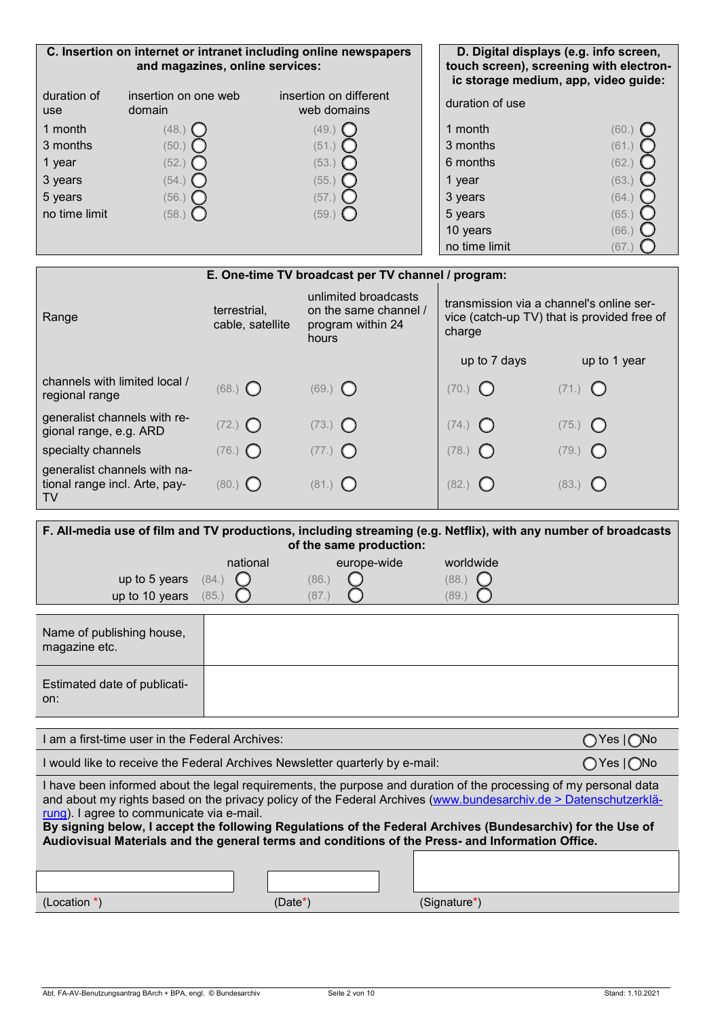| C. Insertion on internet or intranet including online newspapers<br>and magazines, online services: |                                |                                       |  | D. Digital displays (e.g. info screen,<br>touch screen), screening with electron-<br>ic storage medium, app, video quide: |       |
|-----------------------------------------------------------------------------------------------------|--------------------------------|---------------------------------------|--|---------------------------------------------------------------------------------------------------------------------------|-------|
| duration of<br><b>use</b>                                                                           | insertion on one web<br>domain | insertion on different<br>web domains |  | duration of use                                                                                                           |       |
| 1 month                                                                                             | (48.)                          | (49.)                                 |  | 1 month                                                                                                                   | (60.  |
| 3 months                                                                                            | (50.)                          | (51.)                                 |  | 3 months                                                                                                                  | (61.) |
| 1 year                                                                                              | (52.)                          | (53.)                                 |  | 6 months                                                                                                                  | (62.) |
| 3 years                                                                                             | (54.)                          | (55.)                                 |  | 1 year                                                                                                                    | (63.  |
| 5 years                                                                                             | (56.)                          | (57.)                                 |  | 3 years                                                                                                                   | (64.) |
| no time limit                                                                                       | (58.)                          | (59.)                                 |  | 5 years                                                                                                                   | (65.  |
|                                                                                                     |                                |                                       |  | 10 years                                                                                                                  | (66.  |
|                                                                                                     |                                |                                       |  | no time limit                                                                                                             | (67.  |

# **E. One-time TV broadcast per TV channel / program:**

| Range                                                               | terrestrial.<br>cable, satellite | unlimited broadcasts<br>on the same channel /<br>program within 24<br>hours | transmission via a channel's online ser-<br>vice (catch-up TV) that is provided free of<br>charge |                    |
|---------------------------------------------------------------------|----------------------------------|-----------------------------------------------------------------------------|---------------------------------------------------------------------------------------------------|--------------------|
|                                                                     |                                  |                                                                             | up to 7 days                                                                                      | up to 1 year       |
| channels with limited local /<br>regional range                     | $(68.)$ $\bigcirc$               | $(69.)$ $\bigcirc$                                                          | $(70.)$ $\bigcirc$                                                                                | $(71.)$ $\bigcirc$ |
| generalist channels with re-<br>gional range, e.g. ARD              | $(72.)$ $\bigcirc$               | $(73.)$ $\bigcirc$                                                          | $(74.)$ $\bigcirc$                                                                                | $(75.)$ $\bigcirc$ |
| specialty channels                                                  | $(76.)$ $\bigcirc$               | $(77.)$ $\bigcirc$                                                          | $(78.)$ $\bigcirc$                                                                                | $(79.)$ $\bigcirc$ |
| generalist channels with na-<br>tional range incl. Arte, pay-<br>TV | $(80.)$ ()                       | $(81.)$ $\bigcirc$                                                          | (82.)<br>$\sqrt{2}$                                                                               | $(83.)$ $\bigcirc$ |

| F. All-media use of film and TV productions, including streaming (e.g. Netflix), with any number of broadcasts<br>of the same production: |          |             |                                                                                                                                                                                                                                                                                                                                                                                                                                                                                         |  |  |
|-------------------------------------------------------------------------------------------------------------------------------------------|----------|-------------|-----------------------------------------------------------------------------------------------------------------------------------------------------------------------------------------------------------------------------------------------------------------------------------------------------------------------------------------------------------------------------------------------------------------------------------------------------------------------------------------|--|--|
|                                                                                                                                           | national | europe-wide | worldwide                                                                                                                                                                                                                                                                                                                                                                                                                                                                               |  |  |
| up to 5 years                                                                                                                             | (84.)    | (86.)       | (88.)                                                                                                                                                                                                                                                                                                                                                                                                                                                                                   |  |  |
| up to 10 years                                                                                                                            | (85.)    | (87.)       | (89.                                                                                                                                                                                                                                                                                                                                                                                                                                                                                    |  |  |
| Name of publishing house,<br>magazine etc.                                                                                                |          |             |                                                                                                                                                                                                                                                                                                                                                                                                                                                                                         |  |  |
| Estimated date of publicati-<br>on:                                                                                                       |          |             |                                                                                                                                                                                                                                                                                                                                                                                                                                                                                         |  |  |
|                                                                                                                                           |          |             |                                                                                                                                                                                                                                                                                                                                                                                                                                                                                         |  |  |
| I am a first-time user in the Federal Archives:                                                                                           |          |             |                                                                                                                                                                                                                                                                                                                                                                                                                                                                                         |  |  |
|                                                                                                                                           |          |             | ◯ Yes   ◯No                                                                                                                                                                                                                                                                                                                                                                                                                                                                             |  |  |
| I would like to receive the Federal Archives Newsletter quarterly by e-mail:<br>rung). I agree to communicate via e-mail.                 |          |             | $\bigcirc$ Yes $\bigcirc$ No<br>I have been informed about the legal requirements, the purpose and duration of the processing of my personal data<br>and about my rights based on the privacy policy of the Federal Archives (www.bundesarchiv.de > Datenschutzerklä-<br>By signing below, I accept the following Regulations of the Federal Archives (Bundesarchiv) for the Use of<br>Audiovisual Materials and the general terms and conditions of the Press- and Information Office. |  |  |
|                                                                                                                                           |          |             |                                                                                                                                                                                                                                                                                                                                                                                                                                                                                         |  |  |
|                                                                                                                                           |          |             |                                                                                                                                                                                                                                                                                                                                                                                                                                                                                         |  |  |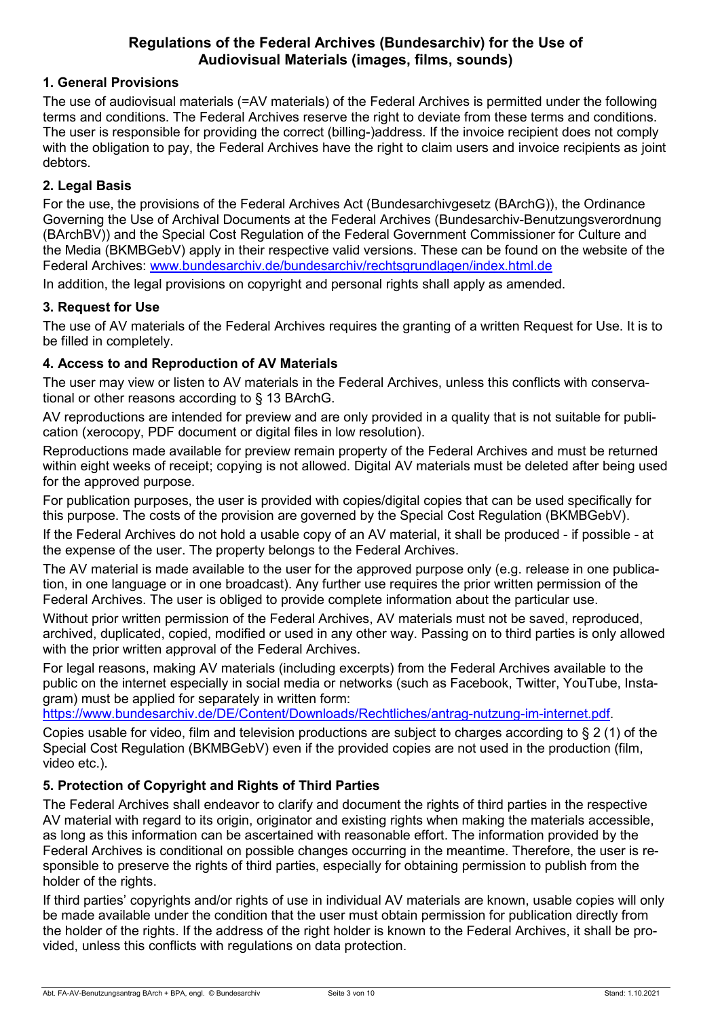# **Regulations of the Federal Archives (Bundesarchiv) for the Use of Audiovisual Materials (images, films, sounds)**

# **1. General Provisions**

The use of audiovisual materials (=AV materials) of the Federal Archives is permitted under the following terms and conditions. The Federal Archives reserve the right to deviate from these terms and conditions. The user is responsible for providing the correct (billing-)address. If the invoice recipient does not comply with the obligation to pay, the Federal Archives have the right to claim users and invoice recipients as joint debtors.

### **2. Legal Basis**

For the use, the provisions of the Federal Archives Act (Bundesarchivgesetz (BArchG)), the Ordinance Governing the Use of Archival Documents at the Federal Archives (Bundesarchiv-Benutzungsverordnung (BArchBV)) and the Special Cost Regulation of the Federal Government Commissioner for Culture and the Media (BKMBGebV) apply in their respective valid versions. These can be found on the website of the Federal Archives: [www.bundesarchiv.de/bundesarchiv/rechtsgrundlagen/index.html.de](http://www.bundesarchiv.de/bundesarchiv/rechtsgrundlagen/index.html.de) 

In addition, the legal provisions on copyright and personal rights shall apply as amended.

# **3. Request for Use**

The use of AV materials of the Federal Archives requires the granting of a written Request for Use. It is to be filled in completely.

### **4. Access to and Reproduction of AV Materials**

The user may view or listen to AV materials in the Federal Archives, unless this conflicts with conservational or other reasons according to § 13 BArchG.

AV reproductions are intended for preview and are only provided in a quality that is not suitable for publication (xerocopy, PDF document or digital files in low resolution).

Reproductions made available for preview remain property of the Federal Archives and must be returned within eight weeks of receipt; copying is not allowed. Digital AV materials must be deleted after being used for the approved purpose.

For publication purposes, the user is provided with copies/digital copies that can be used specifically for this purpose. The costs of the provision are governed by the Special Cost Regulation (BKMBGebV).

If the Federal Archives do not hold a usable copy of an AV material, it shall be produced - if possible - at the expense of the user. The property belongs to the Federal Archives.

The AV material is made available to the user for the approved purpose only (e.g. release in one publication, in one language or in one broadcast). Any further use requires the prior written permission of the Federal Archives. The user is obliged to provide complete information about the particular use.

Without prior written permission of the Federal Archives, AV materials must not be saved, reproduced, archived, duplicated, copied, modified or used in any other way. Passing on to third parties is only allowed with the prior written approval of the Federal Archives.

For legal reasons, making AV materials (including excerpts) from the Federal Archives available to the public on the internet especially in social media or networks (such as Facebook, Twitter, YouTube, Instagram) must be applied for separately in written form:

[https://www.bundesarchiv.de/DE/Content/Downloads/Rechtliches/antrag-nutzung-im-internet.pdf.](https://www.bundesarchiv.de/DE/Content/Downloads/Rechtliches/antrag-nutzung-im-internet.pdf)

Copies usable for video, film and television productions are subject to charges according to  $\S 2$  (1) of the Special Cost Regulation (BKMBGebV) even if the provided copies are not used in the production (film, video etc.).

# **5. Protection of Copyright and Rights of Third Parties**

The Federal Archives shall endeavor to clarify and document the rights of third parties in the respective AV material with regard to its origin, originator and existing rights when making the materials accessible, as long as this information can be ascertained with reasonable effort. The information provided by the Federal Archives is conditional on possible changes occurring in the meantime. Therefore, the user is responsible to preserve the rights of third parties, especially for obtaining permission to publish from the holder of the rights.

If third parties' copyrights and/or rights of use in individual AV materials are known, usable copies will only be made available under the condition that the user must obtain permission for publication directly from the holder of the rights. If the address of the right holder is known to the Federal Archives, it shall be provided, unless this conflicts with regulations on data protection.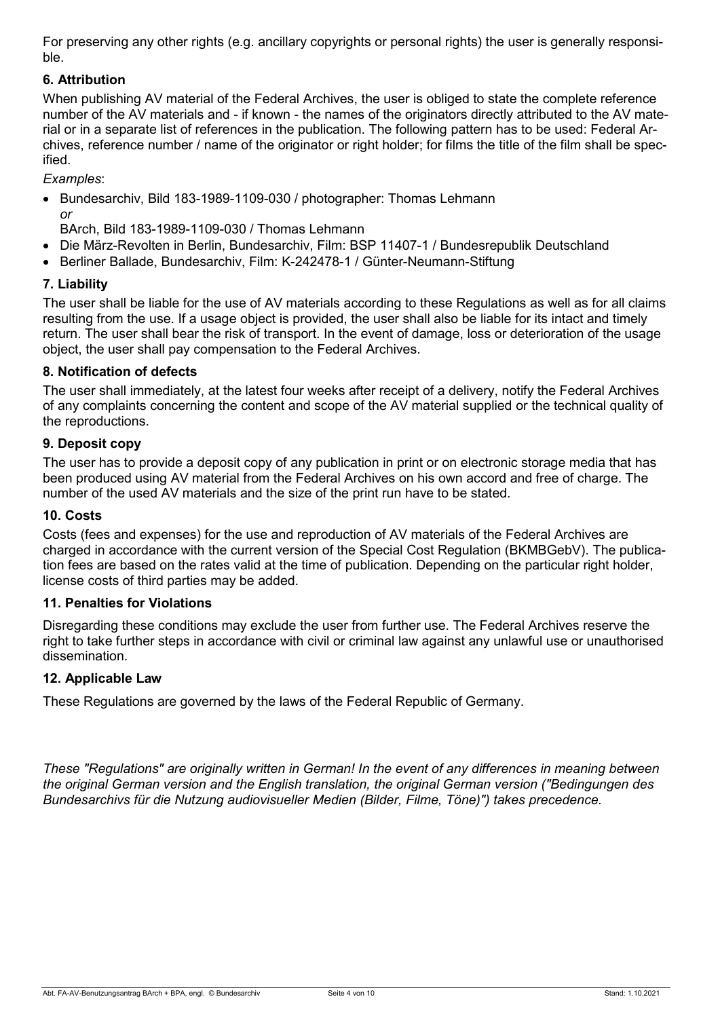For preserving any other rights (e.g. ancillary copyrights or personal rights) the user is generally responsible.

# **6. Attribution**

When publishing AV material of the Federal Archives, the user is obliged to state the complete reference number of the AV materials and - if known - the names of the originators directly attributed to the AV material or in a separate list of references in the publication. The following pattern has to be used: Federal Archives, reference number / name of the originator or right holder; for films the title of the film shall be specified.

*Examples*:

• Bundesarchiv, Bild 183-1989-1109-030 / photographer: Thomas Lehmann *or* 

BArch, Bild 183-1989-1109-030 / Thomas Lehmann

- Die März-Revolten in Berlin, Bundesarchiv, Film: BSP 11407-1 / Bundesrepublik Deutschland
- Berliner Ballade, Bundesarchiv, Film: K-242478-1 / Günter-Neumann-Stiftung

### **7. Liability**

The user shall be liable for the use of AV materials according to these Regulations as well as for all claims resulting from the use. If a usage object is provided, the user shall also be liable for its intact and timely return. The user shall bear the risk of transport. In the event of damage, loss or deterioration of the usage object, the user shall pay compensation to the Federal Archives.

### **8. Notification of defects**

The user shall immediately, at the latest four weeks after receipt of a delivery, notify the Federal Archives of any complaints concerning the content and scope of the AV material supplied or the technical quality of the reproductions.

### **9. Deposit copy**

The user has to provide a deposit copy of any publication in print or on electronic storage media that has been produced using AV material from the Federal Archives on his own accord and free of charge. The number of the used AV materials and the size of the print run have to be stated.

### **10. Costs**

Costs (fees and expenses) for the use and reproduction of AV materials of the Federal Archives are charged in accordance with the current version of the Special Cost Regulation (BKMBGebV). The publication fees are based on the rates valid at the time of publication. Depending on the particular right holder, license costs of third parties may be added.

### **11. Penalties for Violations**

Disregarding these conditions may exclude the user from further use. The Federal Archives reserve the right to take further steps in accordance with civil or criminal law against any unlawful use or unauthorised dissemination.

### **12. Applicable Law**

These Regulations are governed by the laws of the Federal Republic of Germany.

*These "Regulations" are originally written in German! In the event of any differences in meaning between the original German version and the English translation, the original German version ("Bedingungen des Bundesarchivs für die Nutzung audiovisueller Medien (Bilder, Filme, Töne)") takes precedence.*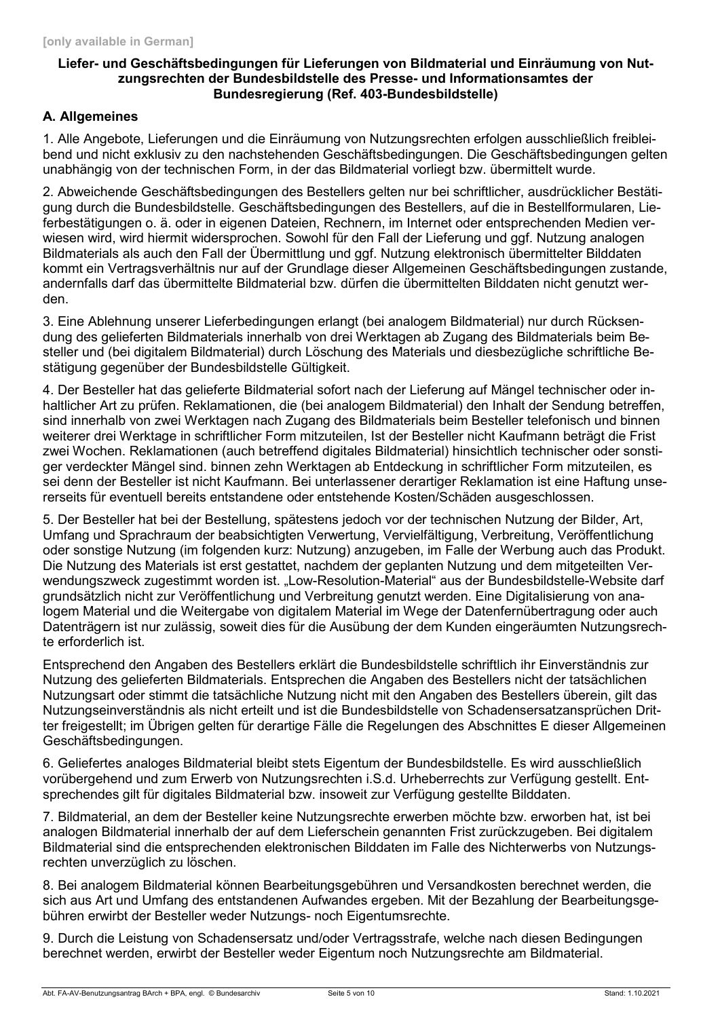### **Liefer- und Geschäftsbedingungen für Lieferungen von Bildmaterial und Einräumung von Nutzungsrechten der Bundesbildstelle des Presse- und Informationsamtes der Bundesregierung (Ref. 403-Bundesbildstelle)**

# **A. Allgemeines**

1. Alle Angebote, Lieferungen und die Einräumung von Nutzungsrechten erfolgen ausschließlich freibleibend und nicht exklusiv zu den nachstehenden Geschäftsbedingungen. Die Geschäftsbedingungen gelten unabhängig von der technischen Form, in der das Bildmaterial vorliegt bzw. übermittelt wurde.

2. Abweichende Geschäftsbedingungen des Bestellers gelten nur bei schriftlicher, ausdrücklicher Bestätigung durch die Bundesbildstelle. Geschäftsbedingungen des Bestellers, auf die in Bestellformularen, Lieferbestätigungen o. ä. oder in eigenen Dateien, Rechnern, im Internet oder entsprechenden Medien verwiesen wird, wird hiermit widersprochen. Sowohl für den Fall der Lieferung und ggf. Nutzung analogen Bildmaterials als auch den Fall der Übermittlung und ggf. Nutzung elektronisch übermittelter Bilddaten kommt ein Vertragsverhältnis nur auf der Grundlage dieser Allgemeinen Geschäftsbedingungen zustande, andernfalls darf das übermittelte Bildmaterial bzw. dürfen die übermittelten Bilddaten nicht genutzt werden.

3. Eine Ablehnung unserer Lieferbedingungen erlangt (bei analogem Bildmaterial) nur durch Rücksendung des gelieferten Bildmaterials innerhalb von drei Werktagen ab Zugang des Bildmaterials beim Besteller und (bei digitalem Bildmaterial) durch Löschung des Materials und diesbezügliche schriftliche Bestätigung gegenüber der Bundesbildstelle Gültigkeit.

4. Der Besteller hat das gelieferte Bildmaterial sofort nach der Lieferung auf Mängel technischer oder inhaltlicher Art zu prüfen. Reklamationen, die (bei analogem Bildmaterial) den Inhalt der Sendung betreffen, sind innerhalb von zwei Werktagen nach Zugang des Bildmaterials beim Besteller telefonisch und binnen weiterer drei Werktage in schriftlicher Form mitzuteilen, Ist der Besteller nicht Kaufmann beträgt die Frist zwei Wochen. Reklamationen (auch betreffend digitales Bildmaterial) hinsichtlich technischer oder sonstiger verdeckter Mängel sind. binnen zehn Werktagen ab Entdeckung in schriftlicher Form mitzuteilen, es sei denn der Besteller ist nicht Kaufmann. Bei unterlassener derartiger Reklamation ist eine Haftung unsererseits für eventuell bereits entstandene oder entstehende Kosten/Schäden ausgeschlossen.

5. Der Besteller hat bei der Bestellung, spätestens jedoch vor der technischen Nutzung der Bilder, Art, Umfang und Sprachraum der beabsichtigten Verwertung, Vervielfältigung, Verbreitung, Veröffentlichung oder sonstige Nutzung (im folgenden kurz: Nutzung) anzugeben, im Falle der Werbung auch das Produkt. Die Nutzung des Materials ist erst gestattet, nachdem der geplanten Nutzung und dem mitgeteilten Verwendungszweck zugestimmt worden ist. "Low-Resolution-Material" aus der Bundesbildstelle-Website darf grundsätzlich nicht zur Veröffentlichung und Verbreitung genutzt werden. Eine Digitalisierung von analogem Material und die Weitergabe von digitalem Material im Wege der Datenfernübertragung oder auch Datenträgern ist nur zulässig, soweit dies für die Ausübung der dem Kunden eingeräumten Nutzungsrechte erforderlich ist.

Entsprechend den Angaben des Bestellers erklärt die Bundesbildstelle schriftlich ihr Einverständnis zur Nutzung des gelieferten Bildmaterials. Entsprechen die Angaben des Bestellers nicht der tatsächlichen Nutzungsart oder stimmt die tatsächliche Nutzung nicht mit den Angaben des Bestellers überein, gilt das Nutzungseinverständnis als nicht erteilt und ist die Bundesbildstelle von Schadensersatzansprüchen Dritter freigestellt; im Übrigen gelten für derartige Fälle die Regelungen des Abschnittes E dieser Allgemeinen Geschäftsbedingungen.

6. Geliefertes analoges Bildmaterial bleibt stets Eigentum der Bundesbildstelle. Es wird ausschließlich vorübergehend und zum Erwerb von Nutzungsrechten i.S.d. Urheberrechts zur Verfügung gestellt. Entsprechendes gilt für digitales Bildmaterial bzw. insoweit zur Verfügung gestellte Bilddaten.

7. Bildmaterial, an dem der Besteller keine Nutzungsrechte erwerben möchte bzw. erworben hat, ist bei analogen Bildmaterial innerhalb der auf dem Lieferschein genannten Frist zurückzugeben. Bei digitalem Bildmaterial sind die entsprechenden elektronischen Bilddaten im Falle des Nichterwerbs von Nutzungsrechten unverzüglich zu löschen.

8. Bei analogem Bildmaterial können Bearbeitungsgebühren und Versandkosten berechnet werden, die sich aus Art und Umfang des entstandenen Aufwandes ergeben. Mit der Bezahlung der Bearbeitungsgebühren erwirbt der Besteller weder Nutzungs- noch Eigentumsrechte.

9. Durch die Leistung von Schadensersatz und/oder Vertragsstrafe, welche nach diesen Bedingungen berechnet werden, erwirbt der Besteller weder Eigentum noch Nutzungsrechte am Bildmaterial.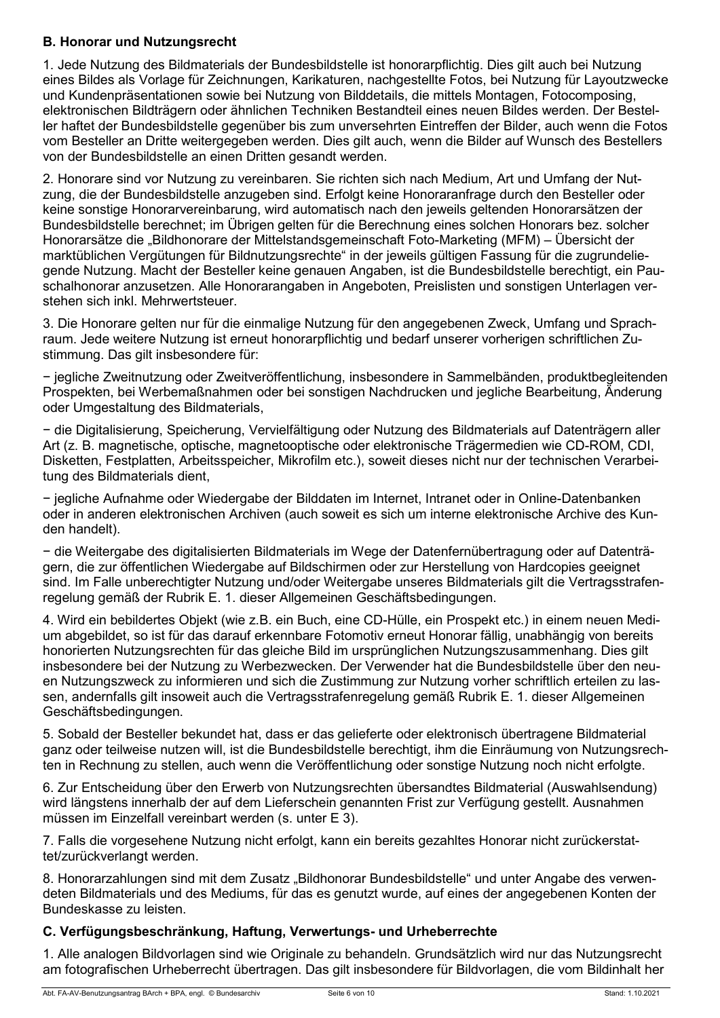# **B. Honorar und Nutzungsrecht**

1. Jede Nutzung des Bildmaterials der Bundesbildstelle ist honorarpflichtig. Dies gilt auch bei Nutzung eines Bildes als Vorlage für Zeichnungen, Karikaturen, nachgestellte Fotos, bei Nutzung für Layoutzwecke und Kundenpräsentationen sowie bei Nutzung von Bilddetails, die mittels Montagen, Fotocomposing, elektronischen Bildträgern oder ähnlichen Techniken Bestandteil eines neuen Bildes werden. Der Besteller haftet der Bundesbildstelle gegenüber bis zum unversehrten Eintreffen der Bilder, auch wenn die Fotos vom Besteller an Dritte weitergegeben werden. Dies gilt auch, wenn die Bilder auf Wunsch des Bestellers von der Bundesbildstelle an einen Dritten gesandt werden.

2. Honorare sind vor Nutzung zu vereinbaren. Sie richten sich nach Medium, Art und Umfang der Nutzung, die der Bundesbildstelle anzugeben sind. Erfolgt keine Honoraranfrage durch den Besteller oder keine sonstige Honorarvereinbarung, wird automatisch nach den jeweils geltenden Honorarsätzen der Bundesbildstelle berechnet; im Übrigen gelten für die Berechnung eines solchen Honorars bez. solcher Honorarsätze die "Bildhonorare der Mittelstandsgemeinschaft Foto-Marketing (MFM) – Übersicht der marktüblichen Vergütungen für Bildnutzungsrechte" in der jeweils gültigen Fassung für die zugrundeliegende Nutzung. Macht der Besteller keine genauen Angaben, ist die Bundesbildstelle berechtigt, ein Pauschalhonorar anzusetzen. Alle Honorarangaben in Angeboten, Preislisten und sonstigen Unterlagen verstehen sich inkl. Mehrwertsteuer.

3. Die Honorare gelten nur für die einmalige Nutzung für den angegebenen Zweck, Umfang und Sprachraum. Jede weitere Nutzung ist erneut honorarpflichtig und bedarf unserer vorherigen schriftlichen Zustimmung. Das gilt insbesondere für:

− jegliche Zweitnutzung oder Zweitveröffentlichung, insbesondere in Sammelbänden, produktbegleitenden Prospekten, bei Werbemaßnahmen oder bei sonstigen Nachdrucken und jegliche Bearbeitung, Änderung oder Umgestaltung des Bildmaterials,

− die Digitalisierung, Speicherung, Vervielfältigung oder Nutzung des Bildmaterials auf Datenträgern aller Art (z. B. magnetische, optische, magnetooptische oder elektronische Trägermedien wie CD-ROM, CDI, Disketten, Festplatten, Arbeitsspeicher, Mikrofilm etc.), soweit dieses nicht nur der technischen Verarbeitung des Bildmaterials dient,

− jegliche Aufnahme oder Wiedergabe der Bilddaten im Internet, Intranet oder in Online-Datenbanken oder in anderen elektronischen Archiven (auch soweit es sich um interne elektronische Archive des Kunden handelt).

− die Weitergabe des digitalisierten Bildmaterials im Wege der Datenfernübertragung oder auf Datenträgern, die zur öffentlichen Wiedergabe auf Bildschirmen oder zur Herstellung von Hardcopies geeignet sind. Im Falle unberechtigter Nutzung und/oder Weitergabe unseres Bildmaterials gilt die Vertragsstrafenregelung gemäß der Rubrik E. 1. dieser Allgemeinen Geschäftsbedingungen.

4. Wird ein bebildertes Objekt (wie z.B. ein Buch, eine CD-Hülle, ein Prospekt etc.) in einem neuen Medium abgebildet, so ist für das darauf erkennbare Fotomotiv erneut Honorar fällig, unabhängig von bereits honorierten Nutzungsrechten für das gleiche Bild im ursprünglichen Nutzungszusammenhang. Dies gilt insbesondere bei der Nutzung zu Werbezwecken. Der Verwender hat die Bundesbildstelle über den neuen Nutzungszweck zu informieren und sich die Zustimmung zur Nutzung vorher schriftlich erteilen zu lassen, andernfalls gilt insoweit auch die Vertragsstrafenregelung gemäß Rubrik E. 1. dieser Allgemeinen Geschäftsbedingungen.

5. Sobald der Besteller bekundet hat, dass er das gelieferte oder elektronisch übertragene Bildmaterial ganz oder teilweise nutzen will, ist die Bundesbildstelle berechtigt, ihm die Einräumung von Nutzungsrechten in Rechnung zu stellen, auch wenn die Veröffentlichung oder sonstige Nutzung noch nicht erfolgte.

6. Zur Entscheidung über den Erwerb von Nutzungsrechten übersandtes Bildmaterial (Auswahlsendung) wird längstens innerhalb der auf dem Lieferschein genannten Frist zur Verfügung gestellt. Ausnahmen müssen im Einzelfall vereinbart werden (s. unter E 3).

7. Falls die vorgesehene Nutzung nicht erfolgt, kann ein bereits gezahltes Honorar nicht zurückerstattet/zurückverlangt werden.

8. Honorarzahlungen sind mit dem Zusatz "Bildhonorar Bundesbildstelle" und unter Angabe des verwendeten Bildmaterials und des Mediums, für das es genutzt wurde, auf eines der angegebenen Konten der Bundeskasse zu leisten.

# **C. Verfügungsbeschränkung, Haftung, Verwertungs- und Urheberrechte**

1. Alle analogen Bildvorlagen sind wie Originale zu behandeln. Grundsätzlich wird nur das Nutzungsrecht am fotografischen Urheberrecht übertragen. Das gilt insbesondere für Bildvorlagen, die vom Bildinhalt her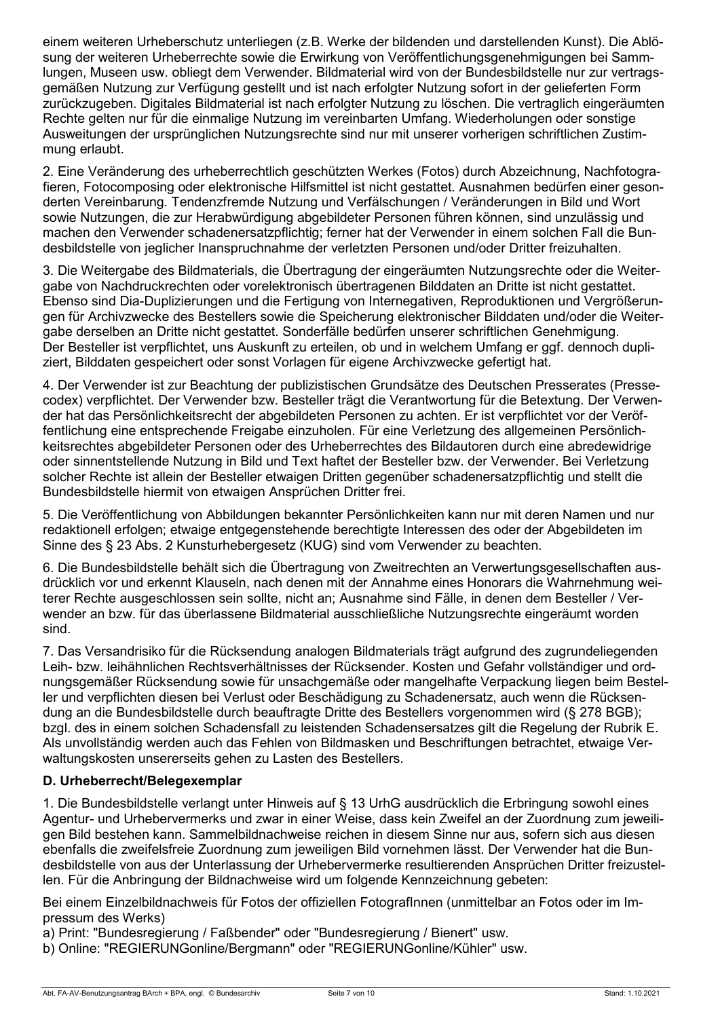einem weiteren Urheberschutz unterliegen (z.B. Werke der bildenden und darstellenden Kunst). Die Ablösung der weiteren Urheberrechte sowie die Erwirkung von Veröffentlichungsgenehmigungen bei Sammlungen, Museen usw. obliegt dem Verwender. Bildmaterial wird von der Bundesbildstelle nur zur vertragsgemäßen Nutzung zur Verfügung gestellt und ist nach erfolgter Nutzung sofort in der gelieferten Form zurückzugeben. Digitales Bildmaterial ist nach erfolgter Nutzung zu löschen. Die vertraglich eingeräumten Rechte gelten nur für die einmalige Nutzung im vereinbarten Umfang. Wiederholungen oder sonstige Ausweitungen der ursprünglichen Nutzungsrechte sind nur mit unserer vorherigen schriftlichen Zustimmung erlaubt.

2. Eine Veränderung des urheberrechtlich geschützten Werkes (Fotos) durch Abzeichnung, Nachfotografieren, Fotocomposing oder elektronische Hilfsmittel ist nicht gestattet. Ausnahmen bedürfen einer gesonderten Vereinbarung. Tendenzfremde Nutzung und Verfälschungen / Veränderungen in Bild und Wort sowie Nutzungen, die zur Herabwürdigung abgebildeter Personen führen können, sind unzulässig und machen den Verwender schadenersatzpflichtig; ferner hat der Verwender in einem solchen Fall die Bundesbildstelle von jeglicher Inanspruchnahme der verletzten Personen und/oder Dritter freizuhalten.

3. Die Weitergabe des Bildmaterials, die Übertragung der eingeräumten Nutzungsrechte oder die Weitergabe von Nachdruckrechten oder vorelektronisch übertragenen Bilddaten an Dritte ist nicht gestattet. Ebenso sind Dia-Duplizierungen und die Fertigung von Internegativen, Reproduktionen und Vergrößerungen für Archivzwecke des Bestellers sowie die Speicherung elektronischer Bilddaten und/oder die Weitergabe derselben an Dritte nicht gestattet. Sonderfälle bedürfen unserer schriftlichen Genehmigung. Der Besteller ist verpflichtet, uns Auskunft zu erteilen, ob und in welchem Umfang er ggf. dennoch dupliziert, Bilddaten gespeichert oder sonst Vorlagen für eigene Archivzwecke gefertigt hat.

4. Der Verwender ist zur Beachtung der publizistischen Grundsätze des Deutschen Presserates (Pressecodex) verpflichtet. Der Verwender bzw. Besteller trägt die Verantwortung für die Betextung. Der Verwender hat das Persönlichkeitsrecht der abgebildeten Personen zu achten. Er ist verpflichtet vor der Veröffentlichung eine entsprechende Freigabe einzuholen. Für eine Verletzung des allgemeinen Persönlichkeitsrechtes abgebildeter Personen oder des Urheberrechtes des Bildautoren durch eine abredewidrige oder sinnentstellende Nutzung in Bild und Text haftet der Besteller bzw. der Verwender. Bei Verletzung solcher Rechte ist allein der Besteller etwaigen Dritten gegenüber schadenersatzpflichtig und stellt die Bundesbildstelle hiermit von etwaigen Ansprüchen Dritter frei.

5. Die Veröffentlichung von Abbildungen bekannter Persönlichkeiten kann nur mit deren Namen und nur redaktionell erfolgen; etwaige entgegenstehende berechtigte Interessen des oder der Abgebildeten im Sinne des § 23 Abs. 2 Kunsturhebergesetz (KUG) sind vom Verwender zu beachten.

6. Die Bundesbildstelle behält sich die Übertragung von Zweitrechten an Verwertungsgesellschaften ausdrücklich vor und erkennt Klauseln, nach denen mit der Annahme eines Honorars die Wahrnehmung weiterer Rechte ausgeschlossen sein sollte, nicht an; Ausnahme sind Fälle, in denen dem Besteller / Verwender an bzw. für das überlassene Bildmaterial ausschließliche Nutzungsrechte eingeräumt worden sind.

7. Das Versandrisiko für die Rücksendung analogen Bildmaterials trägt aufgrund des zugrundeliegenden Leih- bzw. leihähnlichen Rechtsverhältnisses der Rücksender. Kosten und Gefahr vollständiger und ordnungsgemäßer Rücksendung sowie für unsachgemäße oder mangelhafte Verpackung liegen beim Besteller und verpflichten diesen bei Verlust oder Beschädigung zu Schadenersatz, auch wenn die Rücksendung an die Bundesbildstelle durch beauftragte Dritte des Bestellers vorgenommen wird (§ 278 BGB); bzgl. des in einem solchen Schadensfall zu leistenden Schadensersatzes gilt die Regelung der Rubrik E. Als unvollständig werden auch das Fehlen von Bildmasken und Beschriftungen betrachtet, etwaige Verwaltungskosten unsererseits gehen zu Lasten des Bestellers.

# **D. Urheberrecht/Belegexemplar**

1. Die Bundesbildstelle verlangt unter Hinweis auf § 13 UrhG ausdrücklich die Erbringung sowohl eines Agentur- und Urhebervermerks und zwar in einer Weise, dass kein Zweifel an der Zuordnung zum jeweiligen Bild bestehen kann. Sammelbildnachweise reichen in diesem Sinne nur aus, sofern sich aus diesen ebenfalls die zweifelsfreie Zuordnung zum jeweiligen Bild vornehmen lässt. Der Verwender hat die Bundesbildstelle von aus der Unterlassung der Urhebervermerke resultierenden Ansprüchen Dritter freizustellen. Für die Anbringung der Bildnachweise wird um folgende Kennzeichnung gebeten:

Bei einem Einzelbildnachweis für Fotos der offiziellen FotografInnen (unmittelbar an Fotos oder im Impressum des Werks)

a) Print: "Bundesregierung / Faßbender" oder "Bundesregierung / Bienert" usw.

b) Online: "REGIERUNGonline/Bergmann" oder "REGIERUNGonline/Kühler" usw.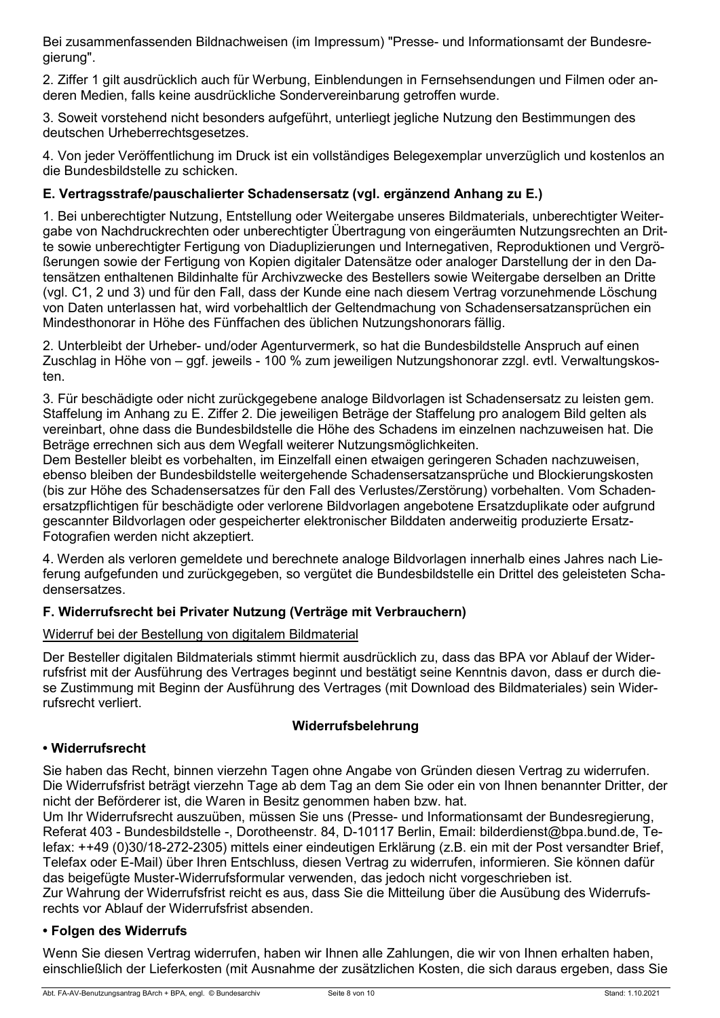Bei zusammenfassenden Bildnachweisen (im Impressum) "Presse- und Informationsamt der Bundesregierung".

2. Ziffer 1 gilt ausdrücklich auch für Werbung, Einblendungen in Fernsehsendungen und Filmen oder anderen Medien, falls keine ausdrückliche Sondervereinbarung getroffen wurde.

3. Soweit vorstehend nicht besonders aufgeführt, unterliegt jegliche Nutzung den Bestimmungen des deutschen Urheberrechtsgesetzes.

4. Von jeder Veröffentlichung im Druck ist ein vollständiges Belegexemplar unverzüglich und kostenlos an die Bundesbildstelle zu schicken.

# **E. Vertragsstrafe/pauschalierter Schadensersatz (vgl. ergänzend Anhang zu E.)**

1. Bei unberechtigter Nutzung, Entstellung oder Weitergabe unseres Bildmaterials, unberechtigter Weitergabe von Nachdruckrechten oder unberechtigter Übertragung von eingeräumten Nutzungsrechten an Dritte sowie unberechtigter Fertigung von Diaduplizierungen und Internegativen, Reproduktionen und Vergrößerungen sowie der Fertigung von Kopien digitaler Datensätze oder analoger Darstellung der in den Datensätzen enthaltenen Bildinhalte für Archivzwecke des Bestellers sowie Weitergabe derselben an Dritte (vgl. C1, 2 und 3) und für den Fall, dass der Kunde eine nach diesem Vertrag vorzunehmende Löschung von Daten unterlassen hat, wird vorbehaltlich der Geltendmachung von Schadensersatzansprüchen ein Mindesthonorar in Höhe des Fünffachen des üblichen Nutzungshonorars fällig.

2. Unterbleibt der Urheber- und/oder Agenturvermerk, so hat die Bundesbildstelle Anspruch auf einen Zuschlag in Höhe von – ggf. jeweils - 100 % zum jeweiligen Nutzungshonorar zzgl. evtl. Verwaltungskosten.

3. Für beschädigte oder nicht zurückgegebene analoge Bildvorlagen ist Schadensersatz zu leisten gem. Staffelung im Anhang zu E. Ziffer 2. Die jeweiligen Beträge der Staffelung pro analogem Bild gelten als vereinbart, ohne dass die Bundesbildstelle die Höhe des Schadens im einzelnen nachzuweisen hat. Die Beträge errechnen sich aus dem Wegfall weiterer Nutzungsmöglichkeiten.

Dem Besteller bleibt es vorbehalten, im Einzelfall einen etwaigen geringeren Schaden nachzuweisen, ebenso bleiben der Bundesbildstelle weitergehende Schadensersatzansprüche und Blockierungskosten (bis zur Höhe des Schadensersatzes für den Fall des Verlustes/Zerstörung) vorbehalten. Vom Schadenersatzpflichtigen für beschädigte oder verlorene Bildvorlagen angebotene Ersatzduplikate oder aufgrund gescannter Bildvorlagen oder gespeicherter elektronischer Bilddaten anderweitig produzierte Ersatz-Fotografien werden nicht akzeptiert.

4. Werden als verloren gemeldete und berechnete analoge Bildvorlagen innerhalb eines Jahres nach Lieferung aufgefunden und zurückgegeben, so vergütet die Bundesbildstelle ein Drittel des geleisteten Schadensersatzes.

# **F. Widerrufsrecht bei Privater Nutzung (Verträge mit Verbrauchern)**

### Widerruf bei der Bestellung von digitalem Bildmaterial

Der Besteller digitalen Bildmaterials stimmt hiermit ausdrücklich zu, dass das BPA vor Ablauf der Widerrufsfrist mit der Ausführung des Vertrages beginnt und bestätigt seine Kenntnis davon, dass er durch diese Zustimmung mit Beginn der Ausführung des Vertrages (mit Download des Bildmateriales) sein Widerrufsrecht verliert.

### **Widerrufsbelehrung**

### **• Widerrufsrecht**

Sie haben das Recht, binnen vierzehn Tagen ohne Angabe von Gründen diesen Vertrag zu widerrufen. Die Widerrufsfrist beträgt vierzehn Tage ab dem Tag an dem Sie oder ein von Ihnen benannter Dritter, der nicht der Beförderer ist, die Waren in Besitz genommen haben bzw. hat.

Um Ihr Widerrufsrecht auszuüben, müssen Sie uns (Presse- und Informationsamt der Bundesregierung, Referat 403 - Bundesbildstelle -, Dorotheenstr. 84, D-10117 Berlin, Email: bilderdienst@bpa.bund.de, Telefax: ++49 (0)30/18-272-2305) mittels einer eindeutigen Erklärung (z.B. ein mit der Post versandter Brief, Telefax oder E-Mail) über Ihren Entschluss, diesen Vertrag zu widerrufen, informieren. Sie können dafür das beigefügte Muster-Widerrufsformular verwenden, das jedoch nicht vorgeschrieben ist. Zur Wahrung der Widerrufsfrist reicht es aus, dass Sie die Mitteilung über die Ausübung des Widerrufsrechts vor Ablauf der Widerrufsfrist absenden.

### **• Folgen des Widerrufs**

Wenn Sie diesen Vertrag widerrufen, haben wir Ihnen alle Zahlungen, die wir von Ihnen erhalten haben, einschließlich der Lieferkosten (mit Ausnahme der zusätzlichen Kosten, die sich daraus ergeben, dass Sie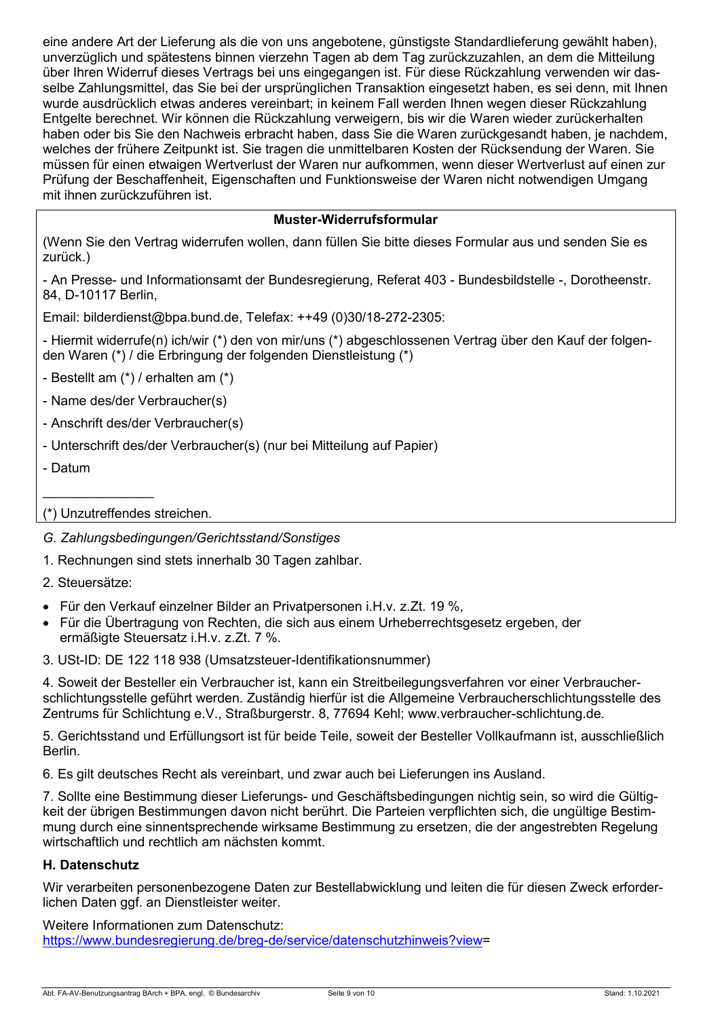eine andere Art der Lieferung als die von uns angebotene, günstigste Standardlieferung gewählt haben), unverzüglich und spätestens binnen vierzehn Tagen ab dem Tag zurückzuzahlen, an dem die Mitteilung über Ihren Widerruf dieses Vertrags bei uns eingegangen ist. Für diese Rückzahlung verwenden wir dasselbe Zahlungsmittel, das Sie bei der ursprünglichen Transaktion eingesetzt haben, es sei denn, mit Ihnen wurde ausdrücklich etwas anderes vereinbart; in keinem Fall werden Ihnen wegen dieser Rückzahlung Entgelte berechnet. Wir können die Rückzahlung verweigern, bis wir die Waren wieder zurückerhalten haben oder bis Sie den Nachweis erbracht haben, dass Sie die Waren zurückgesandt haben, je nachdem, welches der frühere Zeitpunkt ist. Sie tragen die unmittelbaren Kosten der Rücksendung der Waren. Sie müssen für einen etwaigen Wertverlust der Waren nur aufkommen, wenn dieser Wertverlust auf einen zur Prüfung der Beschaffenheit, Eigenschaften und Funktionsweise der Waren nicht notwendigen Umgang mit ihnen zurückzuführen ist.

# **Muster-Widerrufsformular**

(Wenn Sie den Vertrag widerrufen wollen, dann füllen Sie bitte dieses Formular aus und senden Sie es zurück.)

- An Presse- und Informationsamt der Bundesregierung, Referat 403 - Bundesbildstelle -, Dorotheenstr. 84, D-10117 Berlin,

Email: bilderdienst@bpa.bund.de, Telefax: ++49 (0)30/18-272-2305:

- Hiermit widerrufe(n) ich/wir (\*) den von mir/uns (\*) abgeschlossenen Vertrag über den Kauf der folgenden Waren (\*) / die Erbringung der folgenden Dienstleistung (\*)

- Bestellt am (\*) / erhalten am (\*)

- Name des/der Verbraucher(s)
- Anschrift des/der Verbraucher(s)
- Unterschrift des/der Verbraucher(s) (nur bei Mitteilung auf Papier)
- Datum

### (\*) Unzutreffendes streichen.

*G. Zahlungsbedingungen/Gerichtsstand/Sonstiges*

1. Rechnungen sind stets innerhalb 30 Tagen zahlbar.

2. Steuersätze:

 $\overline{\phantom{a}}$  , where  $\overline{\phantom{a}}$ 

- Für den Verkauf einzelner Bilder an Privatpersonen i.H.v. z.Zt. 19 %,
- Für die Übertragung von Rechten, die sich aus einem Urheberrechtsgesetz ergeben, der ermäßigte Steuersatz i.H.v. z.Zt. 7 %.

3. USt-ID: DE 122 118 938 (Umsatzsteuer-Identifikationsnummer)

4. Soweit der Besteller ein Verbraucher ist, kann ein Streitbeilegungsverfahren vor einer Verbraucherschlichtungsstelle geführt werden. Zuständig hierfür ist die Allgemeine Verbraucherschlichtungsstelle des Zentrums für Schlichtung e.V., Straßburgerstr. 8, 77694 Kehl; www.verbraucher-schlichtung.de.

5. Gerichtsstand und Erfüllungsort ist für beide Teile, soweit der Besteller Vollkaufmann ist, ausschließlich Berlin.

6. Es gilt deutsches Recht als vereinbart, und zwar auch bei Lieferungen ins Ausland.

7. Sollte eine Bestimmung dieser Lieferungs- und Geschäftsbedingungen nichtig sein, so wird die Gültigkeit der übrigen Bestimmungen davon nicht berührt. Die Parteien verpflichten sich, die ungültige Bestimmung durch eine sinnentsprechende wirksame Bestimmung zu ersetzen, die der angestrebten Regelung wirtschaftlich und rechtlich am nächsten kommt.

### **H. Datenschutz**

Wir verarbeiten personenbezogene Daten zur Bestellabwicklung und leiten die für diesen Zweck erforderlichen Daten ggf. an Dienstleister weiter.

Weitere Informationen zum Datenschutz: [https://www.bundesregierung.de/breg-de/service/datenschutzhinweis?view=](https://www.bundesregierung.de/breg-de/service/datenschutzhinweis?view)